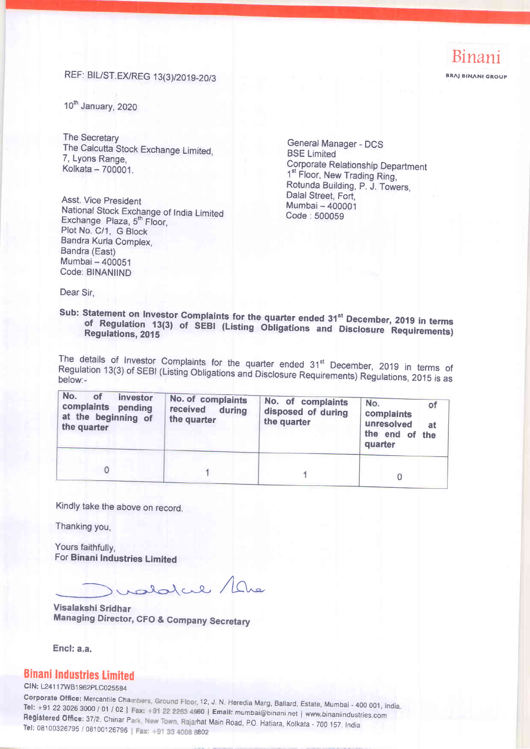**BRAJ BINANI GROUP** 

### REF: BIL/ST.EX/REG 13(3)/2019-20/3

10<sup>th</sup> January, 2020

The Secretary The Calcutta Stock Exchange Limited, 7, Lyons Range, Kolkata - 700001.

Asst. Vice President National Stock Exchange of India Limited Exchange Plaza, 5<sup>th</sup> Floor. Plot No. C/1, G Block Bandra Kurla Complex, Bandra (East) Mumbai - 400051 Code: BINANIIND

General Manager - DCS **BSE Limited Corporate Relationship Department** 1<sup>st</sup> Floor, New Trading Ring, Rotunda Building, P. J. Towers. Dalal Street, Fort, Mumbai - 400001 Code: 500059

Dear Sir.

#### Sub: Statement on Investor Complaints for the quarter ended 31<sup>st</sup> December, 2019 in terms of Regulation 13(3) of SEBI (Listing Obligations and Disclosure Requirements) **Regulations, 2015**

The details of Investor Complaints for the quarter ended 31<sup>st</sup> December, 2019 in terms of Regulation 13(3) of SEBI (Listing Obligations and Disclosure Requirements) Regulations, 2015 is as below:-

| No.<br>οf<br>investor<br>complaints<br>pending<br>at the beginning of<br>the quarter | No. of complaints<br>received during<br>the quarter | No. of complaints<br>disposed of during<br>the quarter | No.<br>of<br>complaints<br>unresolved<br>at.<br>the end of the<br>quarter |
|--------------------------------------------------------------------------------------|-----------------------------------------------------|--------------------------------------------------------|---------------------------------------------------------------------------|
|                                                                                      |                                                     |                                                        |                                                                           |

Kindly take the above on record.

Thanking you,

Yours faithfully. For Binani Industries Limited

alatul / Lhe

Visalakshi Sridhar **Managing Director, CFO & Company Secretary** 

Encl: a.a.

#### **Binani Industries Limited**

CIN: L24117WB1962PLC025584

Corporate Office: Mercantile Chambers, Ground Floor, 12, J. N. Heredia Marg, Ballard, Estate, Mumbai - 400 001, India. Tel: +91 22 3026 3000 / 01 / 02 | Fax: +91 22 2263 4960 | Email: mumbai@binani.net | www.binaniindustries.com Registered Office: 37/2, Chinar Park, New Town, Rajarhat Main Road, P.O. Hatiara, Kolkata - 700 157. India Tel: 08100326795 / 08100126796 | Fax: +91 33 4008 8802